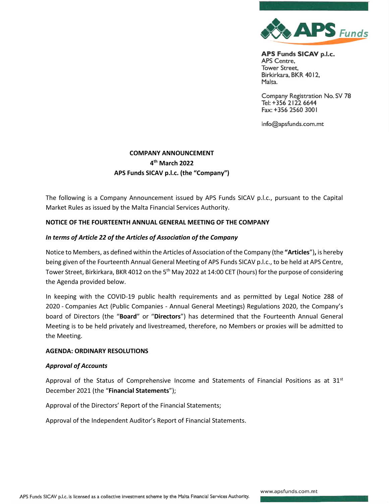

Company Registration No. SV 78 Tel: +356 2122 6644 Fax: +356 2560 3001

info@apsfunds.com.mt

# **COMPANY ANNOUNCEMENT 4 th March 2022 APS Funds SICAV p.l.c. (the "Company")**

The following is a Company Announcement issued by APS Funds SICAV p.l.c., pursuant to the Capital Market Rules as issued by the Malta Financial Services Authority.

# **NOTICE OF THE FOURTEENTH ANNUAL GENERAL MEETING OF THE COMPANY**

# *In terms of Article 22 of the Articles of Association of the Company*

Notice to Members, as defined within the Articles of Association of the Company (the **"Articles**")**,** is hereby being given of the Fourteenth Annual General Meeting of APS Funds SICAV p.l.c., to be held at APS Centre, Tower Street, Birkirkara, BKR 4012 on the 5<sup>th</sup> May 2022 at 14:00 CET (hours) for the purpose of considering the Agenda provided below.

In keeping with the COVID-19 public health requirements and as permitted by Legal Notice 288 of 2020 - Companies Act (Public Companies - Annual General Meetings) Regulations 2020, the Company's board of Directors (the "**Board**" or "**Directors**") has determined that the Fourteenth Annual General Meeting is to be held privately and livestreamed, therefore, no Members or proxies will be admitted to the Meeting.

#### **AGENDA: ORDINARY RESOLUTIONS**

#### *Approval of Accounts*

Approval of the Status of Comprehensive Income and Statements of Financial Positions as at  $31<sup>st</sup>$ December 2021 (the "**Financial Statements**");

Approval of the Directors' Report of the Financial Statements;

Approval of the Independent Auditor's Report of Financial Statements.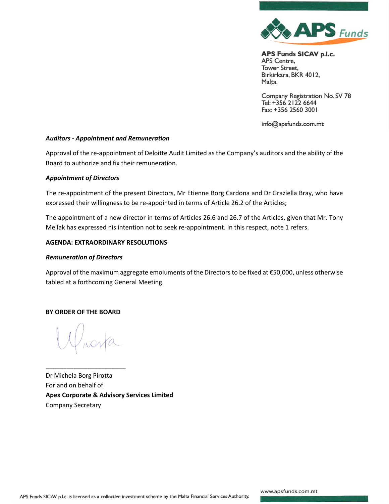

Company Registration No. SV 78 Tel: +356 2122 6644 Fax: +356 2560 3001

info@apsfunds.com.mt

# *Auditors - Appointment and Remuneration*

Approval of the re-appointment of Deloitte Audit Limited as the Company's auditors and the ability of the Board to authorize and fix their remuneration.

## *Appointment of Directors*

The re-appointment of the present Directors, Mr Etienne Borg Cardona and Dr Graziella Bray, who have expressed their willingness to be re-appointed in terms of Article 26.2 of the Articles;

The appointment of a new director in terms of Articles 26.6 and 26.7 of the Articles, given that Mr. Tony Meilak has expressed his intention not to seek re-appointment. In this respect, note 1 refers.

## **AGENDA: EXTRAORDINARY RESOLUTIONS**

#### *Remuneration of Directors*

Approval of the maximum aggregate emoluments of the Directors to be fixed at €50,000, unless otherwise tabled at a forthcoming General Meeting.

#### **BY ORDER OF THE BOARD**

**\_\_\_\_\_\_\_\_\_\_\_\_\_\_\_\_\_\_\_\_\_\_\_**

Dr Michela Borg Pirotta For and on behalf of **Apex Corporate & Advisory Services Limited** Company Secretary

www.apsfunds.com.mt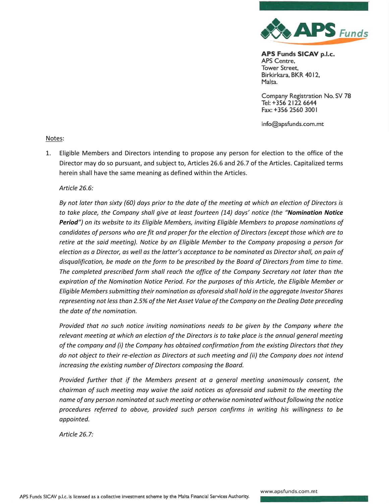

Company Registration No. SV 78 Tel: +356 2122 6644 Fax: +356 2560 3001

info@apsfunds.com.mt

## Notes:

1. Eligible Members and Directors intending to propose any person for election to the office of the Director may do so pursuant, and subject to, Articles 26.6 and 26.7 of the Articles. Capitalized terms herein shall have the same meaning as defined within the Articles.

## *Article 26.6:*

*By not later than sixty (60) days prior to the date of the meeting at which an election of Directors is to take place, the Company shall give at least fourteen (14) days' notice (the "Nomination Notice Period") on its website to its Eligible Members, inviting Eligible Members to propose nominations of candidates of persons who are fit and proper for the election of Directors (except those which are to retire at the said meeting). Notice by an Eligible Member to the Company proposing a person for election as a Director, as well as the latter's acceptance to be nominated as Director shall, on pain of disqualification, be made on the form to be prescribed by the Board of Directors from time to time. The completed prescribed form shall reach the office of the Company Secretary not later than the expiration of the Nomination Notice Period. For the purposes of this Article, the Eligible Member or Eligible Members submitting their nomination as aforesaid shall hold in the aggregate Investor Shares representing not less than 2.5% of the Net Asset Value of the Company on the Dealing Date preceding the date of the nomination.* 

*Provided that no such notice inviting nominations needs to be given by the Company where the relevant meeting at which an election of the Directors is to take place is the annual general meeting of the company and (i) the Company has obtained confirmation from the existing Directors that they do not object to their re-election as Directors at such meeting and (ii) the Company does not intend increasing the existing number of Directors composing the Board.* 

*Provided further that if the Members present at a general meeting unanimously consent, the chairman of such meeting may waive the said notices as aforesaid and submit to the meeting the name of any person nominated at such meeting or otherwise nominated without following the notice procedures referred to above, provided such person confirms in writing his willingness to be appointed.* 

*Article 26.7:*